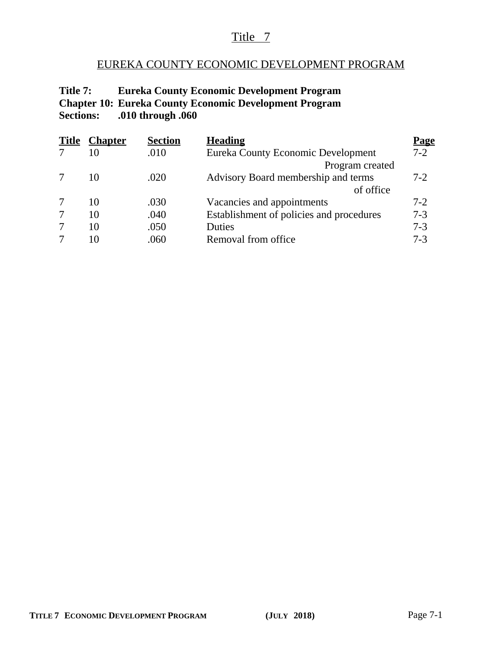# Title 7

# EUREKA COUNTY ECONOMIC DEVELOPMENT PROGRAM

## **Title 7: Eureka County Economic Development Program Chapter 10: Eureka County Economic Development Program Sections: .010 through .060**

| <b>Title</b> | <b>Chapter</b> | <b>Section</b> | <b>Heading</b>                           | Page    |
|--------------|----------------|----------------|------------------------------------------|---------|
|              | 10             | .010           | Eureka County Economic Development       | $7-2$   |
|              |                |                | Program created                          |         |
|              | 10             | .020           | Advisory Board membership and terms      | $7-2$   |
|              |                |                | of office                                |         |
|              | 10             | .030           | Vacancies and appointments               | $7-2$   |
|              | 10             | .040           | Establishment of policies and procedures | $7 - 3$ |
|              | 10             | .050           | Duties                                   | $7 - 3$ |
|              | 10             | .060           | Removal from office                      | $7 - 3$ |
|              |                |                |                                          |         |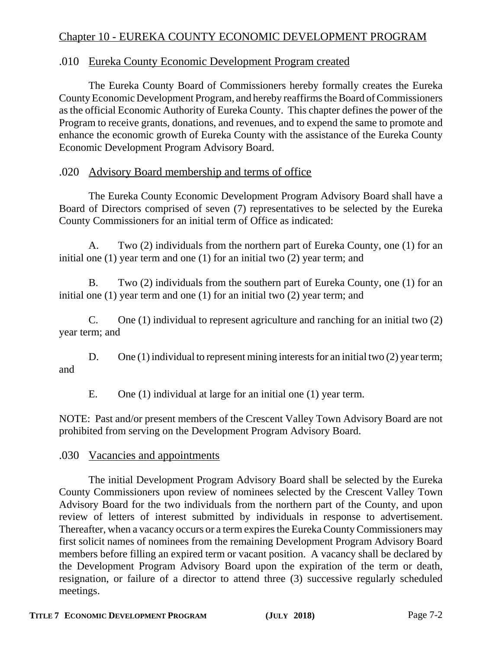# Chapter 10 - EUREKA COUNTY ECONOMIC DEVELOPMENT PROGRAM

#### .010 Eureka County Economic Development Program created

The Eureka County Board of Commissioners hereby formally creates the Eureka County Economic Development Program, and hereby reaffirms the Board of Commissioners as the official Economic Authority of Eureka County. This chapter defines the power of the Program to receive grants, donations, and revenues, and to expend the same to promote and enhance the economic growth of Eureka County with the assistance of the Eureka County Economic Development Program Advisory Board.

#### .020 Advisory Board membership and terms of office

The Eureka County Economic Development Program Advisory Board shall have a Board of Directors comprised of seven (7) representatives to be selected by the Eureka County Commissioners for an initial term of Office as indicated:

A. Two (2) individuals from the northern part of Eureka County, one (1) for an initial one (1) year term and one (1) for an initial two (2) year term; and

B. Two (2) individuals from the southern part of Eureka County, one (1) for an initial one (1) year term and one (1) for an initial two (2) year term; and

C. One (1) individual to represent agriculture and ranching for an initial two (2) year term; and

D. One (1) individual to represent mining interests for an initial two (2) year term; and

E. One (1) individual at large for an initial one (1) year term.

NOTE: Past and/or present members of the Crescent Valley Town Advisory Board are not prohibited from serving on the Development Program Advisory Board.

#### .030 Vacancies and appointments

The initial Development Program Advisory Board shall be selected by the Eureka County Commissioners upon review of nominees selected by the Crescent Valley Town Advisory Board for the two individuals from the northern part of the County, and upon review of letters of interest submitted by individuals in response to advertisement. Thereafter, when a vacancy occurs or a term expires the Eureka County Commissioners may first solicit names of nominees from the remaining Development Program Advisory Board members before filling an expired term or vacant position. A vacancy shall be declared by the Development Program Advisory Board upon the expiration of the term or death, resignation, or failure of a director to attend three (3) successive regularly scheduled meetings.